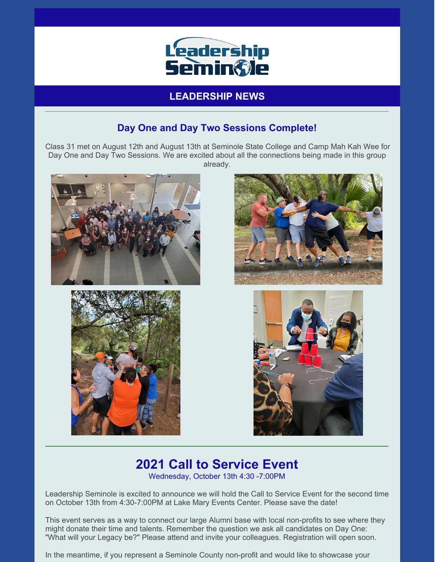

**LEADERSHIP NEWS**

## **Day One and Day Two Sessions Complete!**

Class 31 met on August 12th and August 13th at Seminole State College and Camp Mah Kah Wee for Day One and Day Two Sessions. We are excited about all the connections being made in this group already.









## **2021 Call to Service Event** Wednesday, October 13th 4:30 -7:00PM

Leadership Seminole is excited to announce we will hold the Call to Service Event for the second time on October 13th from 4:30-7:00PM at Lake Mary Events Center. Please save the date!

This event serves as a way to connect our large Alumni base with local non-profits to see where they might donate their time and talents. Remember the question we ask all candidates on Day One: "What will your Legacy be?" Please attend and invite your colleagues. Registration will open soon.

In the meantime, if you represent a Seminole County non-profit and would like to showcase your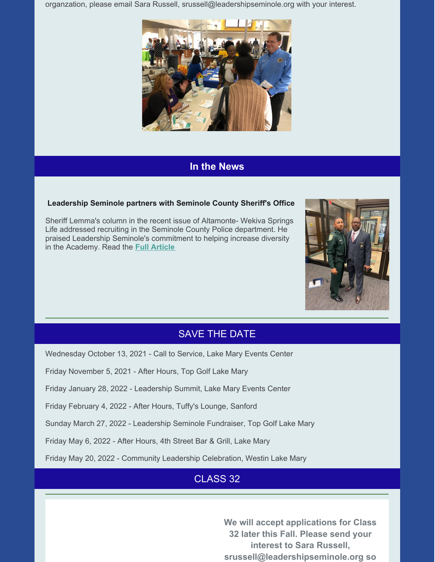organzation, please email Sara Russell, srussell@leadershipseminole.org with your interest.



### **In the News**

#### **Leadership Seminole partners with Seminole County Sheriff's Office**

Sheriff Lemma's column in the recent issue of Altamonte- Wekiva Springs Life addressed recruiting in the Seminole County Police department. He praised Leadership Seminole's commitment to helping increase diversity in the Academy. Read the **Full [Article](https://files.constantcontact.com/206c3f27be/3c16c50a-4838-43eb-bfe4-bbe1bde6ccaa.pdf)**



### SAVE THE DATE

Wednesday October 13, 2021 - Call to Service, Lake Mary Events Center

Friday November 5, 2021 - After Hours, Top Golf Lake Mary

Friday January 28, 2022 - Leadership Summit, Lake Mary Events Center

Friday February 4, 2022 - After Hours, Tuffy's Lounge, Sanford

Sunday March 27, 2022 - Leadership Seminole Fundraiser, Top Golf Lake Mary

Friday May 6, 2022 - After Hours, 4th Street Bar & Grill, Lake Mary

Friday May 20, 2022 - Community Leadership Celebration, Westin Lake Mary

# CLASS 32

**We will accept applications for Class 32 later this Fall. Please send your interest to Sara Russell, srussell@leadershipseminole.org so**